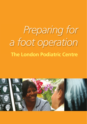# *Preparing for a foot operation* **The London Podiatric Centre**

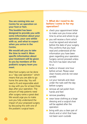**You are coming into our Centre for an operation on your foot or feet.** 

**This booklet has been designed to provide you with some information about your operation, your care whilst with us, and what to expect when you arrive in the Centre.** 

**We would ask you to take the time to read it. More specific information about your treatment will be given to you by members of the podiatric surgery team you meet.**

Most foot surgery can be done as a "day case operation" which means that you are able to go home the same day. You will need a fit and responsible adult to stay with you for at least three days after your operation. The amount of help patients need after surgery varies a great deal. We would urge you to make sure you fully understand the impact of your proposed surgery by discussing this with one of the podiatric surgical team.

#### **1. What do I need to do before I come in for my operation?**

- check your appointment letter to make sure you know what time to arrive and where to go
- you will receive a form which must be signed and returned before the date of your surgery. This confirms that you have read and understood all the information you have been given regarding your operation. Surgery cannot proceed unless this form has been returned to us
- bathe or shower one hour before arrival. Please wear clean hosiery and do not wear sandals
- cut your toenails and clean under the nails well the day before surgery
- remove all nail polish from hands and feet
- remove jewellery
- wear loose clothing as a large dressing and a surgical shoe will be applied after the operation
- bring with you a clean pair of shorts and a t-shirt that have not been worn outside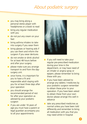- you may bring along a personal stereo player with headphones or a book to read
- bring any regular medication with you
- do not put any cream on your feet
- bring asthma inhalers to take into surgery if you wear them
- bring glasses or hearing aids if you use them and inform the surgeon if you wear dentures
- do not smoke or drink alcohol for at least 48 hours before and after your surgery
- please make sure you arrange transport to and from the daysurgery unit.
- once home, it is important for you to have a fit and responsible adult staying with you for at least three days after your operation
- you should arrange the recommended period of rest for after your operation as advised by your podiatric surgeon
- if you are under 16 years of age you must have a parent or legal guardian accompany you to all your appointments



- if you will need to take your regular pre-prescribed medication during your time in the department, or may have need of an inhaler or angina spray or epipen; please remember to bring these with you
- if you have been advised to arrange any tablets / medicines by your podiatric surgeon remember to obtain these prior to your operation. If you have been asked to obtain these from your own doctor please arrange this well in advance
- take any prescribed medicines as normal unless you have been told differently and remember to bring all medication with you that you may need whilst in hospital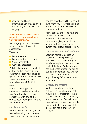■ read any additional information you may be given regarding your admission for surgery.

#### **2. Do I have a choice with regard to my anaesthetic for foot surgery?**

Foot surgery can be undertaken using a number of types of anaesthetic,

These are:

- Local anaesthetic
- Local anaesthetic + sedation
- Spinal anaesthetic
- General anaesthetic

Only local anaesthetic is available at The London Podiatry Centre. Patients who require sedation or general anaesthesia are generally treated at one of the major hospitals where Mr McCulloch consults.

Not all of these types of anaesthetic may be suitable for you. You should discuss your preferences with one of the surgical team during your visits to the department.

#### *Local anaesthetic*

Local anaesthetic means you can be awake during your operation though your foot will be numb

and the operation will be screened away from you. You will be able to listen to music or read whilst your operation is done.

Many patients choose to have their foot operation using a local anaesthetic. Sometimes it is necessary to give you additional local anaesthetic during your surgery (about four cases per 100).

#### *Local anaesthetic with sedation*

Sedation normally requires an anaesthetist to be present to administer a sedative through a small needle placed in a vein in the back of the hand. Sedation usually has the benefit of reducing anxiety during the operation. You will not be able to eat or drink for approximately 6-8 hours prior to your surgery.

#### *General anaesthetic*

With a general anaesthetic you are put to sleep though you will still require a local anaesthetic (this is usually given once you are asleep). Some patients can feel sick when they wake-up. You will not be able to eat or drink for approximately six to eight hours prior to your surgery.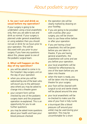#### **3. So can I eat and drink as usual before my operation?**

If your surgery is going to be undertaken using a local anaesthetic only, then you are able to eat and drink as normal. If your surgery is planned under general anaesthetic or using sedation then you should not eat or drink for six hours prior to your operation. This will be discussed with you prior to your surgery. If you have any questions about this, please speak to one of the podiatric surgical team.

#### **4. What will happen on the day of my operation?**

- you will be asked to come in to the hospital / day-surgery unit on the day of your operation
- when you arrive you will be welcomed by one of the team who will escort you to the admission area where you may be asked to change into a theatre gown
- your consent form will be checked by one of the podiatric surgery team and the proposed operation re-explained. This is an opportunity for you to ask further questions
- you may be asked more questions about your health and have your blood pressure checked
- the operation site will be clearly marked by drawing on your foot/leg
- if you are going to be provided with crutches after your surgery, you will be shown how to use these either before or after your operation
- if you are having a local anaesthetic this will be given before you are taken to theatre. If you are having general anaesthetic, the anaesthetist will come and see you before your operation.
- your local anaesthetic will be checked for effectiveness by one of the team before you are taken into theatre
- when the team is ready, you will be taken into the operating theatre for your surgery
- your foot will be cleaned with surgical scrub and sterile sheets will be placed around the area
- your local anaesthetic will be re-checked to make sure the area of your foot is fully numb
- a tourniquet (like a blood pressure cuff around your ankle) may be used during your operation. This may be uncomfortable for a short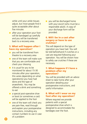while until your ankle tissues adjust, but most people find it quite acceptable after about five minutes

■ after your operation your foot will be bandaged up carefully and you will be transferred back to a recovery area.

#### **5. What will happen after I have my operation?**

- you will be transferred from theatre to a recovery area
- one of the team will make sure that you are comfortable and check your dressing
- it is usual for you to be monitored for about 15-30 minutes after your operation, this varies depending on what operation(s) you have had done and the type of anaesthetic. You may be offered a drink and something to eat
- a special post-operative shoe or boot (or sometimes a cast) will be applied to the foot
- one of the team will check you are pain-free, read through and explain your postoperative instructions, including any contact numbers to use in case of a problem

■ you will be discharged home with your escort (who must be a responsible adult). A copy of your discharge form will be provided.

#### **6. Will I be in a cast after surgery or have to use crutches?**

This will depend on the type of operation you have had. You will be told beforehand if crutches or a cast are required following your operation. You will be shown how to safely use crutches if these are necessary.

#### **7. What happens if I have a problem after my operation?**

You will be provided with an advice sheet to take home after your operation detailing your postoperative instructions, and useful information

#### **8. What will I wear on my foot after my operation?**

Where required we provide patients with a special postoperative shoe which is designed to accommodate the bandages over the foot.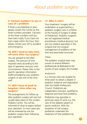#### **9. Contact numbers to use in case of a problem**

If there is any bleeding or pain, please contact the Centre on the three numbers provided. Call each of the three numbers until you have had a reply. If you have not had a reply within the hour, then please contact your GP or accident and emergency.

#### **10. Will I need to take time off work after my surgery?**

You are advised to rest after surgery. The amount of time required varies according to the type of operation and your own circumstances. Please refer to the specific operation information leaflet provided by your podiatric surgeon or ask one of the clinic staff.

#### **11. Will I have to back to hospital / clinic after my surgery?**

The arrangements for follow-up after podiatric surgery will vary but usually takes place at The London Podiatry Centre. You will be informed of what to expect before your operation. In most cases you will be reviewed by one the podiatric surgery team following your operation.

#### **11. Who is who?**

Your treatment / surgery will be undertaken or supervised by a podiatric surgeon who is a Fellow of the Faculty of Surgery (College of Podiatrists). Podiatric surgeons are not registered medical practitioners (medical doctors), but are non-medical specialists in the surgical and non-surgical management of problems of the foot and associated structures.

#### *Titles:*

The podiatric surgical team may consist of several different professionals all dedicated to the success of your surgery, this includes:

#### *Podiatrist:*

Is a clinician who has studied for three years to obtain a degree in podiatric medicine and registration with the Health Professions Council. Podiatrists are independent clinicians, qualified to diagnose and treat foot problems.

Podiatrists may specialise in particular areas of work e.g. the care of the diabetic patient or sports medicine. With the exception of nail surgery, podiatrists undertake the treatment of foot problems by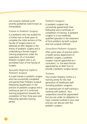non-invasive methods (until recently podiatrists were known as chiropodists).

#### *Trainee in Podiatric Surgery:*

Is a podiatrist who has studied for a further two or three years to complete the initial sections of the Faculty of Surgery exams (or obtained an MSc degree) in the theory of podiatric surgery and is undertaking a formal surgical training programme under the supervision of a Consultant Podiatric Surgeon who is an accredited Tutor of the Faculty of Surgery.

#### *Specialist Registrar (SpR) in Podiatric Surgery:*

Is a past trainee in podiatric surgery who has successfully completed and gained their Podiatric Surgical Fellowship (qualification in the practice of podiatric surgery) and is working as part of a continued training programme towards the completion of their three year post Fellowship specialist training period.

#### *Podiatric Surgeon:*

A podiatric surgeon has successfully gained both their Fellowship and a certificate of completion of training. A podiatric surgeon is a non-medically qualified specialist in the treatment of foot problems by both surgical and non-surgical methods.

#### *Consultant Podiatric Surgeon:*

After some years of practice within a health service department of podiatric surgery, a podiatric surgeon may be appointed as a consultant, i.e. the lead clinician appointed by an NHS Trust to provide a podiatric surgery service.

#### *Trainees*

The London Podiatry Centre is a training centre for the next generation of healthcare staff including podiatric surgeons.

An essential part of staff training is working with patients. Your cooperation would be appreciated but you are under no obligation to have a trainee involved in your care and you can discuss with the podiatric surgeon.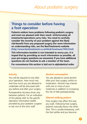### **Things to consider before having a foot operation**

**Patients seldom have problems following podiatric surgery and most are pleased with their result. Unfortunately all treatments/operations carry risks. You need to carefully consider the severity of your problem against the likely risk/benefit from any proposed surgery (for more information on understanding risks, see the BestTreatments website (http://www.besttreatments.co.uk/btuk/howtouse/7432.html)**

**This information booklet is not intended to worry you. It is hoped that by providing as much information as possible, all your pre-surgery questions are answered. If you have additional questions do not hesitate to ask a member of the team.**

**For convenience this section is laid out in alphabetical order.**

#### **Activity**

You will be required to rest after your operation. How much rest and how much you are allowed to undertake will be discussed with you before and after your surgery. Postoperative recovery times vary between patients. For an indication of this please refer to the specific operation information leaflet provided by your podiatric surgeon or ask one of the clinic staff.

#### **Alcohol consumption**

You are advised to avoid alcohol after your foot surgery, whilst on medication. Alcohol may interact with one or more of your medicines in addition to increasing the risk of falls postoperatively.

#### **Altered walking pattern**

Foot surgery may affect the way you walk. Following foot surgery, patients naturally favour the other foot. This is usually temporary, until the foot settles and you become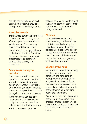accustomed to walking normally again. Sometimes we provide a foot splint to help with symptoms.

#### **Avascular necrosis**

This is where part of the bone loses its blood supply. This may occur after an operation or even from simple trauma. The bone may 'weaken' and change shape. Usually the blood supply will return to the bone with time. Sometimes the bone is damaged resulting in problems such as secondary arthritis. This is a very rare occurrence.

#### **Being awake during the operation**

If you have elected to have your operation under local anaesthetic you will be awake during your operation. Your foot / leg will be tested before you enter theatre to ensure you are pain free. We check this again once you are in theatre.

In the rare event you feel any discomfort you simply need to notify the nurse and we will be able to deal with this immediately. This is a rare event and most

patients are able to chat to one of the nursing team or listen to their music whilst the operation is being performed.

#### **Bleeding**

There will be some bleeding postoperatively but the majority of this is controlled during the operation. Infrequently, a small collection of blood in the deeper tissues may form. This occurs less than 1 per cent of the time and can be dealt with and generally settles without problems.

#### **Changing your mind**

Whilst we will have done our very best to diagnose your foot complaint and formulate an appropriate treatment plan for you, you do not have to follow this treatment plan against your wishes. Patients have the right to change their mind at any time about their treatment.

Please be assured that should you change your mind about your proposed treatment staff will do their utmost to find an alternative treatment plan that suits you hetter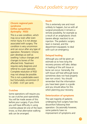#### **Chronic regional pain syndrome (reflex sympathetic dystrophy - RSD)**

This is a rare condition, which may occur even after even minor injury. It is not always associated with surgery. The condition is very uncommon and can occur after any type of operation. Persistent / chronic pain develops as well as swelling / colour changes and changes to bones of the affected limb. Treatment requires early diagnosis and referral to a pain specialist. Complete resolution of RSD may not always be possible. This is not a predictable event but fortunately uncommon (3 in 2500 – 0.01 per cent).

#### **Crutches**

Some operations will require you to use crutches post-operatively. You will be made aware of this before your surgery. If you think you will have difficulty in using crutches please let one of the team know, so that alternative walking aids can be arranged.

#### **Death**

This is extremely rare and most unlikely to happen, but as with all surgical procedures it remains a remote possibility, for example as a result of an anaphylactic shock (severe allergic reaction) to an injection. The podiatric surgery team is trained, and the department equipped, to deal with such an emergency.

#### **Delayed healing**

Although you will be given an estimate as to how long the recovery process will take; delays in healing of the soft tissue or bone can occur. Generally, the soft tissue will heal although bone sometimes does not heal properly (see non union). You should remember that the information you have been given is a guide and you should allow for this when planning your recovery.

#### **Deterioration of symptoms**

The vast majority of patients undergoing foot surgery have less discomfort following their operation. Occasionally however, some patients have no improvement of symptoms and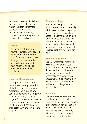more rarely, some patients have more discomfort. It is for this reason that foot surgery for cosmetic reasons is not recommended. It is always possible to have a straighter toe or foot, which hurts more.

#### **Driving**

You should not drive after your foot surgery, until advised by the Podiatric Surgeon or one of the team, as you may damage the operation site and to do so may invalidate your insurance and be an offence under the Road Traffic Act.

#### **Failure of the operation**

The important point to note is that despite the very best efforts of the team we cannot guarantee outcomes. This is true of any patient undergoing any surgery. In some operations (eg bunion surgery) full correction may not be achieved although symptoms are usually improved. Most patents are pleased with the result of their surgery.

#### **Fixation problems**

Any metalwork (pins / screw / plate / implant) used, is normally left in place. In about 10 per cent of cases, a patient's metalwork needs to be removed (if it works loose or cause irritation to the surrounding tissues). Once the bone is healed, the metalwork is not required, however unless it causes a problem we leave it in place.

#### **General anaesthetic**

General anaesthetic means you will be *'asleep'* during your operation. There is a slightly higher risk of medical complications for patients receiving general anaesthetic compared to local anaesthetic. Some patients may feel nauseous *'sick'* when they wake up from the general anaesthetic.

#### **Infection**

Infection rates are estimated at less than 2 per cent of all surgeries. If infection does develop it is generally superficial, usually treated with antibiotics and resolves very easily. However, although uncommon, infection can get deeper into the bone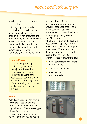which is a much more serious complication.

This may require a period of hospitalisation, possibly further surgery and a longer course of antibiotics. In rare instances, the infected bone may need removing which could affect your foot permanently. Any infection has the potential to be fatal and foot surgery is no exception. Fortunately, this is extremely rare.

#### **Joint stiffness**

Surgery near joints e.g. bunion surgery can lead to some joint stiffness. The immobilisation following surgery and healing of the deep tissues near to the joint may be the underlying cause. We will usually give you some gentle exercises to minimise this risk.

#### **Keloids**

Keloids are large unsightly scars which are raised up and may extend beyond the margins of the original wound. This is a rare type of scar. Patients may have a history of poor scar formation / keloids, although having had no

previous history of keloids does not mean you will not develop one. It is recognised that certain ethnic backgrounds may predispose to (increase the chance of developing) this type of scar e.g. Afro-Caribbean. In patients who have a history of 'keloids' we need to weigh-up very carefully the real risk of 'keloid' developing after surgery. There are some things we can try to minimise the risk but they are not 100% effective. These measures include:

- use of corticosteroid injections prior to surgery
- careful incision planning
- use of zinc creams postoperatively.

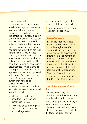#### **Local anaesthetic**

Local anaesthetics are medicines which, when injected near nerves, stop pain. Most of us have experienced a local anaesthetic at the dentist. Foot surgery is readily performed under local anaesthetic and involves injections placed either around the ankle or around the knee. After the injection has had time to work, which can take several minutes, you will not normally be able to feel pain in the area affected. A small number of patients do require additional local anaesthetic during surgery. In rare circumstances some patients do not respond to local anaesthetic injections and we cannot proceed with surgery (less than one case per 100). In these situations surgery may have to be postponed. Whilst local anaesthetic drugs are considered very safe there are some potential side-effects such as:

- allergic reaction to the anaesthetic (less than one person per 10,000)
- toxic reaction to the drug (less than one person per 2000 across all injections)
- irritation or damage to the nerves at the injections sites
- bruising around the injection site (one person in 20).

#### **Loss of sensation**

It is possible for you to lose some sensation around or away from the surgical site after surgery. Great care is taken to avoid damage to nerves and it is rare for a major nerve to be damaged. If nerve damage does occur it is more often the tiny nerves to the skin, which may leave an area of skin with reduced or altered sensation. This loss of sensation can sometimes recover with time but this is not always the case.

#### **Loss of tissue / part of foot / limb**

This would be a very rare complication for the vast majority of patients having foot surgery.

However it is possible for injury to blood vessels and/or serious infection to lead to loss of tissue which can involve some or all of the foot. The risk of this for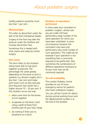healthy patients would be much less than 1 per cent.

#### **Metatarsalgia**

This refers to discomfort under the ball of the foot (metatarsal heads). Surgery to the foot may alter the pressure under the forefoot and increase discomfort here.

Sometimes this is treated with shoe inserts and rarely by further surgery.

#### **Non-union**

This term refers to the situation where bone fails to fuse (join) together as planned. The percentage risk varies greatly depending on the bone or joint in question e.g. Bunion surgery risk is less than 1 per cent and major joint fusion such as talo-navicular joint (big joint near ankle) risk is higher around 10 – 20 per cent. If this situation occurs we may:

- allow more time for the bones to knit together
- re-operate on the bone / joint using a graft of bone from another part of your foot / body
- do nothing if there are no symptoms as a result.

#### **Numbers of operations performed**

In most cases your consultant or podiatric surgeon, whose care you are under will have performed a large number of the same operation for which you have been scheduled. In some circumstances however the consultant may have only performed a very small number of such operations. This might be for example if your operation is not something that is commonly required to be performed. Also sometimes the combinations of different operations necessary to fix your foot may not be commonly required.

#### **On-call availability**

The London Podiatry Centre provides an out of hours emergency service for patients who have undergone surgery. You can call the Centre for advice during normal working hours and the departmental number is at the end of this booklet.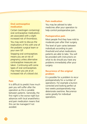#### **Oral contraceptive medication**

Certain (oestrogen containing) oral contraceptive medications are associated with a slight increased risk of thrombosis.

You may wish to discuss the implications of this with one of the podiatric surgical team or your own GP.

Stopping oral contraceptives means you are at risk of pregnancy unless alternative contraceptive measures are taken. Continuing with some types of oral contraceptives may mean you are at an increased risk of a blood clot.

#### **Pain**

It is difficult to predict how much pain you will suffer after the operation as this is variable between patients. Generally, the first night is the worse night but advances with local anaesthetics and pain medication means that this can be managed if not avoided.

#### **Pain medication**

You may be advised to take medicines after your operation to help control postoperative pain.

#### **Postoperative pain**

Most people find they have mild to moderate pain after their surgery.

The level of pain varies between individuals according to pain threshold and what medications patients are able to take. You will be provided with instructions on what to do should you have any problems immediately after your surgery.

#### **Recurrence of the original problem**

It is possible for a problem to recur postoperatively for a number of operations. For example a bunion corrected and looking perfect at two weeks postoperatively may deteriorate overtime. Recurrence varies greatly for individual operations.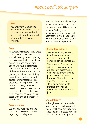#### **Rest**

You are strongly advised to rest after your surgery. Resting with your foot elevated with an ice pack over the ankle will greatly reduce pain and swelling.

#### **Scars**

All surgery will create scars. Great care is taken to minimise the scar you will have by carefully placing the incision and taking great care during your operation. Some people will have a discomfort, nerve entrapment or thickening of the scar. These are uncommon, generally short term and, if they occur, they are often related to postoperative infection or to a predisposition to problem scars (see also Keloids). The vast majority of patients have minimal cosmetic defect from their scars. If you have any concerns please speak with one of the team for further advice

#### **Second opinion**

We are very happy to arrange for you to have a second opinion regarding your diagnosis or

proposed treatment at any stage. Please notify one of our staff if you feel you would like a second opinion. Seeking a second opinion does not mean we will not treat you if you decide you wish to continue to receive care from within our department.

#### **Secondary arthritis**

Some operations, generally joint fusions, lead to an increased risk of arthritis developing in adjacent joints. This is termed "*secondary arthritis".* Fusion operations are generally performed to deal with pain from arthritic joints beyond salvage or because of instability in the foot. This can place more stress on adjacent joints increasing the risk of secondary arthritis in these joints.

#### **Shoe difficulty**

Although every effort is made to give as good a result as possible, you may still have difficulty with shoes and, in rare cases, have less shoe choice after the operation.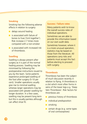#### **Smoking**

Smoking has the following adverse effects in relation to surgery:

- delays wound healing
- is associated with failure of bones to fuse ('knit together'). Risk increase 2.7 times more compared with a non-smoker
- is associated with increased risk of thrombosis.

#### **Swelling**

Swelling is always present after surgery as it is part of the normal healing process. Swelling may be minimised by following the postoperative instructions issued to you by the team. Some patients experience prolonged swelling of the foot after surgery (5-10 per cent). Smaller operations usually give rise to minimal swelling whereas larger operations may be associated with greater swelling for longer duration. In a few cases, swelling may be present long term but this is usually painless although can affect shoe fit.

#### **Success / failure rates**

Many patients wish to know the overall success rates of individual operations.

Sometimes we are able to provide this information based on our own audit data.

Sometimes however, where it is a more unusual operation, statistics may be based on those from the literature. All operations carry risks and patients must accept this fact before electing to proceed with surgery.

#### **Thrombosis**

Thrombosis has been the subject of much discussion recently in relation to flying. A thrombosis is a clot which most often forms in veins of the lower legs e.g. 'Deep Vein Thrombosis'. Risk factors for thrombosis are:

- previous history of thrombosis
- individual predisposition
- smoking
- certain drugs (e.g. some types of oral contraceptives)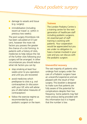- damage to vessels and tissue (e.g. surgery)
- immobilisation (including recent air travel i.e. within in previous two weeks).

The post surgery thrombosis risk has been calculated at 0.5 per cent, however the more risk factors you possess the greater the chance of a clot forming. In patients with a history of clots, medicines to help reduce the risk of the further clots following your surgery will be arranged. In other circumstances you should reduce what risk factors you can by:

- stop smoking at least four weeks prior to you operation and until you are recovered
- avoid medicines which predispose to clots e.g. oral contraceptives (in discussion with your GP, who will advise you of alternative measures of contraception)
- follow the exercise regime as recommended by your podiatric surgeon or the team.

#### **Trainees**

The London Podiatry Centre is a training centre for the next generation of healthcare staff including podiatric surgeons. An essential part of staff training is working with patients. Your cooperation would be appreciated but you are under no obligation to have a trainee involved in your care and you can discuss with the podiatric surgeon.

#### **Uneventful recovery**

The vast majority of patients who undergo foot surgery under the care of a Podiatric surgeon have an uneventful experience and are pleased with the result of their surgery. This booklet is designed to make sure that patients are fully aware of the potential for complications despite their low frequency. Some patients may feel more anxious being provided with this information but it is hoped that the number is low.